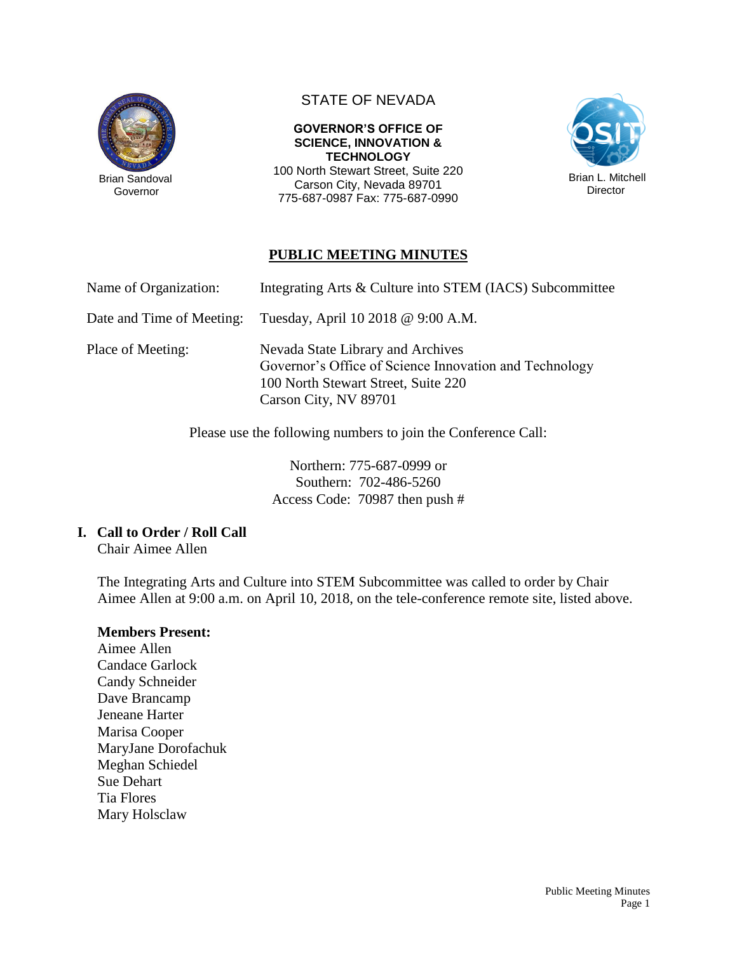

 Brian Sandoval Governor

# STATE OF NEVADA

**GOVERNOR'S OFFICE OF SCIENCE, INNOVATION & TECHNOLOGY** 100 North Stewart Street, Suite 220 Carson City, Nevada 89701 775-687-0987 Fax: 775-687-0990



# **PUBLIC MEETING MINUTES**

| Name of Organization: |  | Integrating Arts & Culture into STEM (IACS) Subcommittee |  |  |
|-----------------------|--|----------------------------------------------------------|--|--|
|-----------------------|--|----------------------------------------------------------|--|--|

Date and Time of Meeting: Tuesday, April 10 2018 @ 9:00 A.M.

Place of Meeting: Nevada State Library and Archives Governor's Office of Science Innovation and Technology 100 North Stewart Street, Suite 220 Carson City, NV 89701

Please use the following numbers to join the Conference Call:

Northern: 775-687-0999 or Southern: 702-486-5260 Access Code: 70987 then push #

# **I. Call to Order / Roll Call**

Chair Aimee Allen

The Integrating Arts and Culture into STEM Subcommittee was called to order by Chair Aimee Allen at 9:00 a.m. on April 10, 2018, on the tele-conference remote site, listed above.

## **Members Present:**

Aimee Allen Candace Garlock Candy Schneider Dave Brancamp Jeneane Harter Marisa Cooper MaryJane Dorofachuk Meghan Schiedel Sue Dehart Tia Flores Mary Holsclaw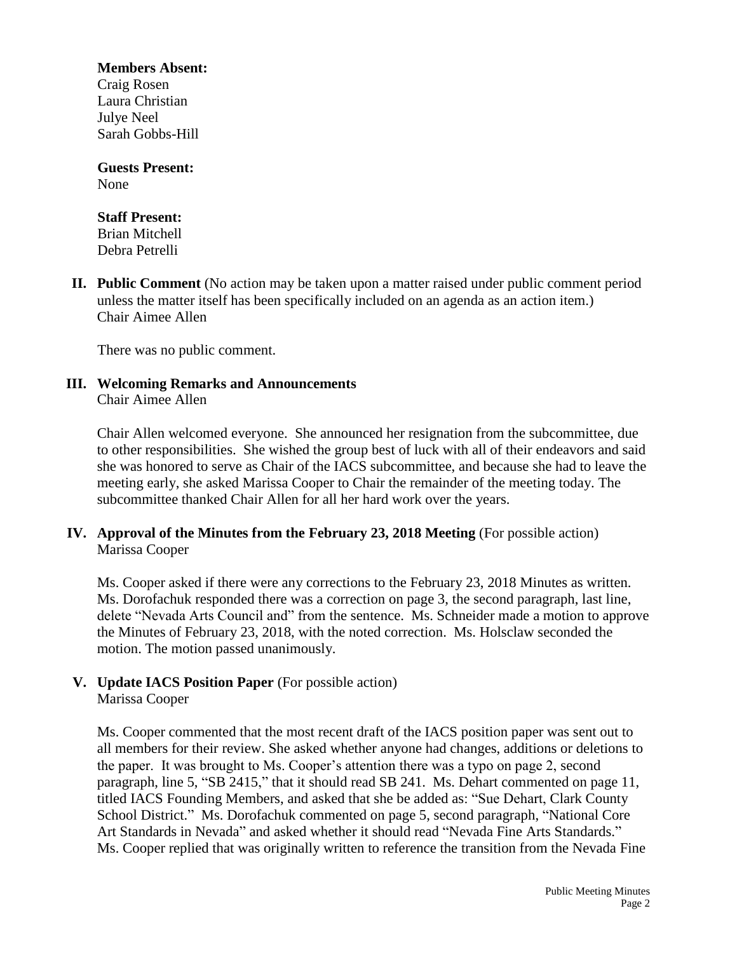**Members Absent:**

Craig Rosen Laura Christian Julye Neel Sarah Gobbs-Hill

**Guests Present:** None

#### **Staff Present:**

Brian Mitchell Debra Petrelli

**II. Public Comment** (No action may be taken upon a matter raised under public comment period unless the matter itself has been specifically included on an agenda as an action item.) Chair Aimee Allen

There was no public comment.

#### **III. Welcoming Remarks and Announcements** Chair Aimee Allen

Chair Allen welcomed everyone. She announced her resignation from the subcommittee, due to other responsibilities. She wished the group best of luck with all of their endeavors and said she was honored to serve as Chair of the IACS subcommittee, and because she had to leave the meeting early, she asked Marissa Cooper to Chair the remainder of the meeting today. The subcommittee thanked Chair Allen for all her hard work over the years.

## **IV. Approval of the Minutes from the February 23, 2018 Meeting** (For possible action) Marissa Cooper

Ms. Cooper asked if there were any corrections to the February 23, 2018 Minutes as written. Ms. Dorofachuk responded there was a correction on page 3, the second paragraph, last line, delete "Nevada Arts Council and" from the sentence. Ms. Schneider made a motion to approve the Minutes of February 23, 2018, with the noted correction. Ms. Holsclaw seconded the motion. The motion passed unanimously.

#### **V. Update IACS Position Paper** (For possible action) Marissa Cooper

Ms. Cooper commented that the most recent draft of the IACS position paper was sent out to all members for their review. She asked whether anyone had changes, additions or deletions to the paper. It was brought to Ms. Cooper's attention there was a typo on page 2, second paragraph, line 5, "SB 2415," that it should read SB 241. Ms. Dehart commented on page 11, titled IACS Founding Members, and asked that she be added as: "Sue Dehart, Clark County School District." Ms. Dorofachuk commented on page 5, second paragraph, "National Core Art Standards in Nevada" and asked whether it should read "Nevada Fine Arts Standards." Ms. Cooper replied that was originally written to reference the transition from the Nevada Fine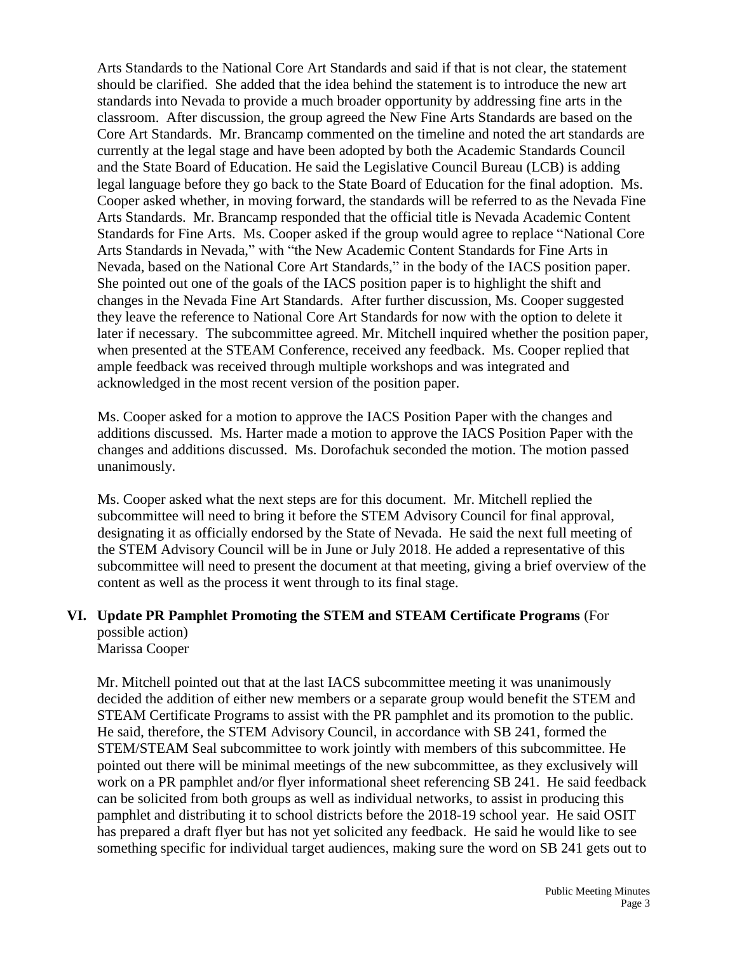Arts Standards to the National Core Art Standards and said if that is not clear, the statement should be clarified. She added that the idea behind the statement is to introduce the new art standards into Nevada to provide a much broader opportunity by addressing fine arts in the classroom. After discussion, the group agreed the New Fine Arts Standards are based on the Core Art Standards. Mr. Brancamp commented on the timeline and noted the art standards are currently at the legal stage and have been adopted by both the Academic Standards Council and the State Board of Education. He said the Legislative Council Bureau (LCB) is adding legal language before they go back to the State Board of Education for the final adoption. Ms. Cooper asked whether, in moving forward, the standards will be referred to as the Nevada Fine Arts Standards. Mr. Brancamp responded that the official title is Nevada Academic Content Standards for Fine Arts. Ms. Cooper asked if the group would agree to replace "National Core Arts Standards in Nevada," with "the New Academic Content Standards for Fine Arts in Nevada, based on the National Core Art Standards," in the body of the IACS position paper. She pointed out one of the goals of the IACS position paper is to highlight the shift and changes in the Nevada Fine Art Standards. After further discussion, Ms. Cooper suggested they leave the reference to National Core Art Standards for now with the option to delete it later if necessary. The subcommittee agreed. Mr. Mitchell inquired whether the position paper, when presented at the STEAM Conference, received any feedback. Ms. Cooper replied that ample feedback was received through multiple workshops and was integrated and acknowledged in the most recent version of the position paper.

Ms. Cooper asked for a motion to approve the IACS Position Paper with the changes and additions discussed. Ms. Harter made a motion to approve the IACS Position Paper with the changes and additions discussed. Ms. Dorofachuk seconded the motion. The motion passed unanimously.

Ms. Cooper asked what the next steps are for this document. Mr. Mitchell replied the subcommittee will need to bring it before the STEM Advisory Council for final approval, designating it as officially endorsed by the State of Nevada. He said the next full meeting of the STEM Advisory Council will be in June or July 2018. He added a representative of this subcommittee will need to present the document at that meeting, giving a brief overview of the content as well as the process it went through to its final stage.

# **VI. Update PR Pamphlet Promoting the STEM and STEAM Certificate Programs** (For possible action)

Marissa Cooper

Mr. Mitchell pointed out that at the last IACS subcommittee meeting it was unanimously decided the addition of either new members or a separate group would benefit the STEM and STEAM Certificate Programs to assist with the PR pamphlet and its promotion to the public. He said, therefore, the STEM Advisory Council, in accordance with SB 241, formed the STEM/STEAM Seal subcommittee to work jointly with members of this subcommittee. He pointed out there will be minimal meetings of the new subcommittee, as they exclusively will work on a PR pamphlet and/or flyer informational sheet referencing SB 241. He said feedback can be solicited from both groups as well as individual networks, to assist in producing this pamphlet and distributing it to school districts before the 2018-19 school year. He said OSIT has prepared a draft flyer but has not yet solicited any feedback. He said he would like to see something specific for individual target audiences, making sure the word on SB 241 gets out to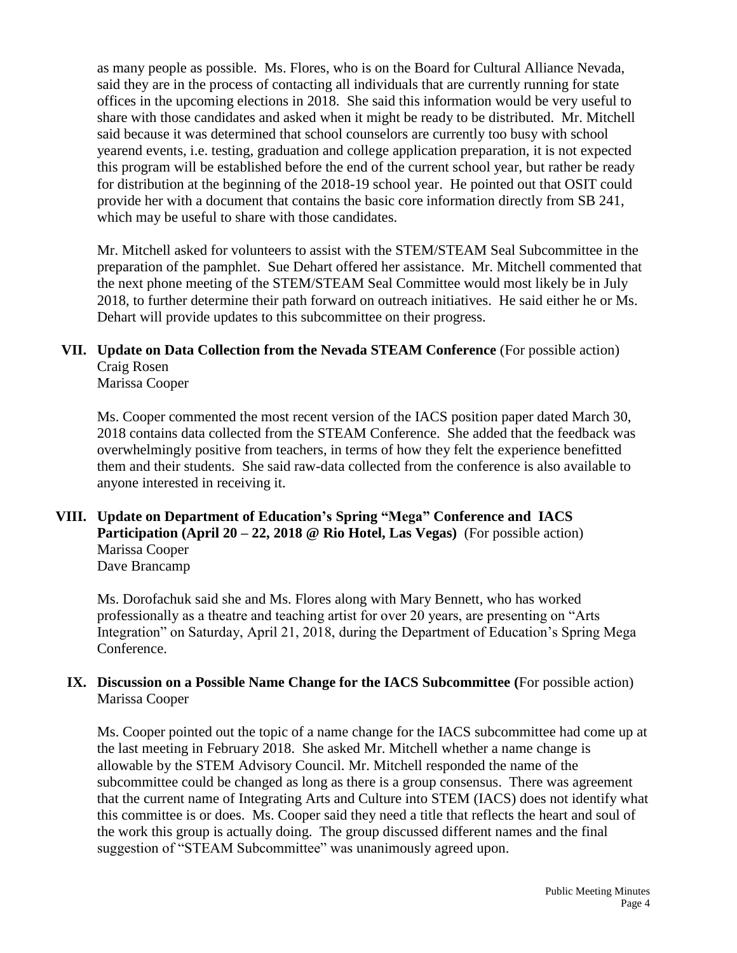as many people as possible. Ms. Flores, who is on the Board for Cultural Alliance Nevada, said they are in the process of contacting all individuals that are currently running for state offices in the upcoming elections in 2018. She said this information would be very useful to share with those candidates and asked when it might be ready to be distributed. Mr. Mitchell said because it was determined that school counselors are currently too busy with school yearend events, i.e. testing, graduation and college application preparation, it is not expected this program will be established before the end of the current school year, but rather be ready for distribution at the beginning of the 2018-19 school year. He pointed out that OSIT could provide her with a document that contains the basic core information directly from SB 241, which may be useful to share with those candidates.

Mr. Mitchell asked for volunteers to assist with the STEM/STEAM Seal Subcommittee in the preparation of the pamphlet. Sue Dehart offered her assistance. Mr. Mitchell commented that the next phone meeting of the STEM/STEAM Seal Committee would most likely be in July 2018, to further determine their path forward on outreach initiatives. He said either he or Ms. Dehart will provide updates to this subcommittee on their progress.

# **VII. Update on Data Collection from the Nevada STEAM Conference** (For possible action) Craig Rosen

Marissa Cooper

Ms. Cooper commented the most recent version of the IACS position paper dated March 30, 2018 contains data collected from the STEAM Conference. She added that the feedback was overwhelmingly positive from teachers, in terms of how they felt the experience benefitted them and their students. She said raw-data collected from the conference is also available to anyone interested in receiving it.

# **VIII. Update on Department of Education's Spring "Mega" Conference and IACS Participation (April 20 – 22, 2018 @ Rio Hotel, Las Vegas)** (For possible action) Marissa Cooper

Dave Brancamp

Ms. Dorofachuk said she and Ms. Flores along with Mary Bennett, who has worked professionally as a theatre and teaching artist for over 20 years, are presenting on "Arts Integration" on Saturday, April 21, 2018, during the Department of Education's Spring Mega Conference.

## **IX. Discussion on a Possible Name Change for the IACS Subcommittee (**For possible action) Marissa Cooper

Ms. Cooper pointed out the topic of a name change for the IACS subcommittee had come up at the last meeting in February 2018. She asked Mr. Mitchell whether a name change is allowable by the STEM Advisory Council. Mr. Mitchell responded the name of the subcommittee could be changed as long as there is a group consensus. There was agreement that the current name of Integrating Arts and Culture into STEM (IACS) does not identify what this committee is or does. Ms. Cooper said they need a title that reflects the heart and soul of the work this group is actually doing. The group discussed different names and the final suggestion of "STEAM Subcommittee" was unanimously agreed upon.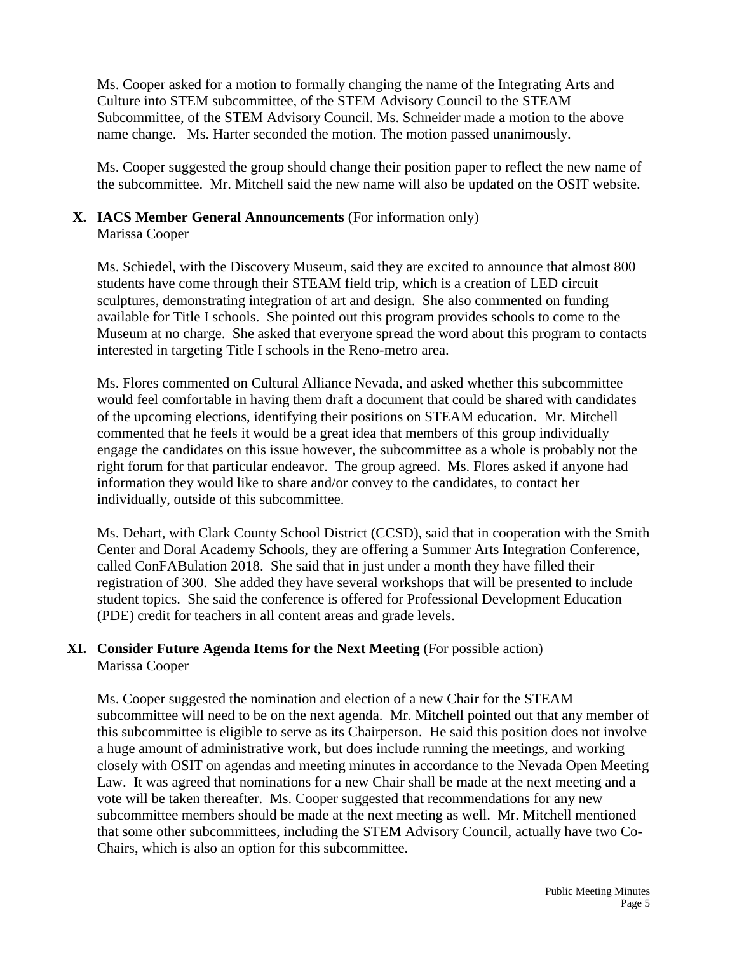Ms. Cooper asked for a motion to formally changing the name of the Integrating Arts and Culture into STEM subcommittee, of the STEM Advisory Council to the STEAM Subcommittee, of the STEM Advisory Council. Ms. Schneider made a motion to the above name change. Ms. Harter seconded the motion. The motion passed unanimously.

Ms. Cooper suggested the group should change their position paper to reflect the new name of the subcommittee. Mr. Mitchell said the new name will also be updated on the OSIT website.

# **X. IACS Member General Announcements** (For information only)

Marissa Cooper

Ms. Schiedel, with the Discovery Museum, said they are excited to announce that almost 800 students have come through their STEAM field trip, which is a creation of LED circuit sculptures, demonstrating integration of art and design. She also commented on funding available for Title I schools. She pointed out this program provides schools to come to the Museum at no charge. She asked that everyone spread the word about this program to contacts interested in targeting Title I schools in the Reno-metro area.

Ms. Flores commented on Cultural Alliance Nevada, and asked whether this subcommittee would feel comfortable in having them draft a document that could be shared with candidates of the upcoming elections, identifying their positions on STEAM education. Mr. Mitchell commented that he feels it would be a great idea that members of this group individually engage the candidates on this issue however, the subcommittee as a whole is probably not the right forum for that particular endeavor. The group agreed. Ms. Flores asked if anyone had information they would like to share and/or convey to the candidates, to contact her individually, outside of this subcommittee.

Ms. Dehart, with Clark County School District (CCSD), said that in cooperation with the Smith Center and Doral Academy Schools, they are offering a Summer Arts Integration Conference, called ConFABulation 2018. She said that in just under a month they have filled their registration of 300. She added they have several workshops that will be presented to include student topics. She said the conference is offered for Professional Development Education (PDE) credit for teachers in all content areas and grade levels.

## **XI. Consider Future Agenda Items for the Next Meeting** (For possible action) Marissa Cooper

Ms. Cooper suggested the nomination and election of a new Chair for the STEAM subcommittee will need to be on the next agenda. Mr. Mitchell pointed out that any member of this subcommittee is eligible to serve as its Chairperson. He said this position does not involve a huge amount of administrative work, but does include running the meetings, and working closely with OSIT on agendas and meeting minutes in accordance to the Nevada Open Meeting Law. It was agreed that nominations for a new Chair shall be made at the next meeting and a vote will be taken thereafter. Ms. Cooper suggested that recommendations for any new subcommittee members should be made at the next meeting as well. Mr. Mitchell mentioned that some other subcommittees, including the STEM Advisory Council, actually have two Co-Chairs, which is also an option for this subcommittee.